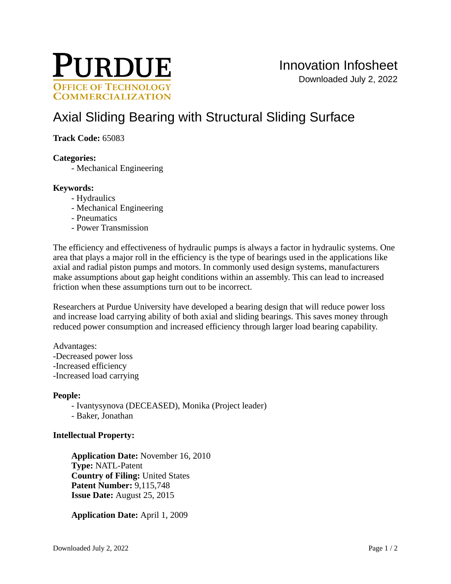

# [Axial Sliding Bearing with Structural Sliding Surface](https://inventions.prf.org/innovation/3314)

## **Track Code:** 65083

## **Categories:**

- Mechanical Engineering

## **Keywords:**

- Hydraulics
- Mechanical Engineering
- Pneumatics
- Power Transmission

The efficiency and effectiveness of hydraulic pumps is always a factor in hydraulic systems. One area that plays a major roll in the efficiency is the type of bearings used in the applications like axial and radial piston pumps and motors. In commonly used design systems, manufacturers make assumptions about gap height conditions within an assembly. This can lead to increased friction when these assumptions turn out to be incorrect.

Researchers at Purdue University have developed a bearing design that will reduce power loss and increase load carrying ability of both axial and sliding bearings. This saves money through reduced power consumption and increased efficiency through larger load bearing capability.

Advantages: -Decreased power loss -Increased efficiency -Increased load carrying

#### **People:**

- Ivantysynova (DECEASED), Monika (Project leader)
- Baker, Jonathan

## **Intellectual Property:**

**Application Date:** November 16, 2010 **Type:** NATL-Patent **Country of Filing:** United States **Patent Number:** 9,115,748 **Issue Date:** August 25, 2015

**Application Date:** April 1, 2009